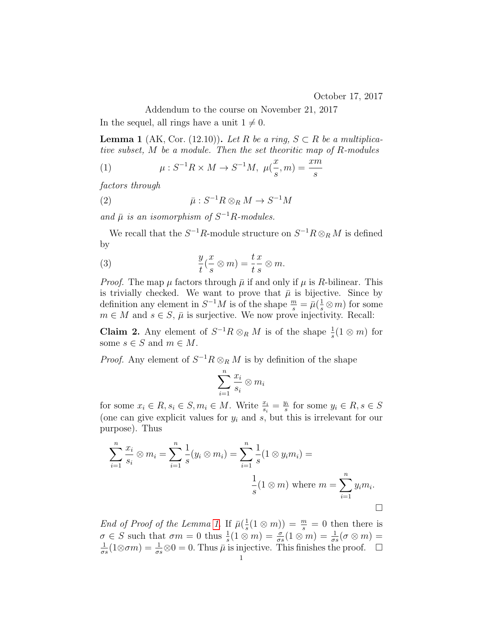Addendum to the course on November 21, 2017

In the sequel, all rings have a unit  $1 \neq 0$ .

<span id="page-0-0"></span>**Lemma 1** (AK, Cor. (12.10)). Let R be a ring,  $S \subset R$  be a multiplicative subset, M be a module. Then the set theoritic map of R-modules

(1) 
$$
\mu: S^{-1}R \times M \to S^{-1}M, \ \mu(\frac{x}{s}, m) = \frac{xm}{s}
$$

factors through

(2) 
$$
\bar{\mu}: S^{-1}R \otimes_R M \to S^{-1}M
$$

and  $\bar{\mu}$  is an isomorphism of  $S^{-1}R$ -modules.

We recall that the  $S^{-1}R$ -module structure on  $S^{-1}R\otimes_R M$  is defined by

(3) 
$$
\frac{y}{t}(\frac{x}{s}\otimes m)=\frac{t}{t}\frac{x}{s}\otimes m.
$$

*Proof.* The map  $\mu$  factors through  $\bar{\mu}$  if and only if  $\mu$  is R-bilinear. This is trivially checked. We want to prove that  $\bar{\mu}$  is bijective. Since by definition any element in  $S^{-1}M$  is of the shape  $\frac{m}{s} = \bar{\mu}(\frac{1}{s}\otimes m)$  for some  $m \in M$  and  $s \in S$ ,  $\bar{\mu}$  is surjective. We now prove injectivity. Recall:

**Claim 2.** Any element of  $S^{-1}R \otimes_R M$  is of the shape  $\frac{1}{s}(1 \otimes m)$  for some  $s \in S$  and  $m \in M$ .

*Proof.* Any element of  $S^{-1}R \otimes_R M$  is by definition of the shape

$$
\sum_{i=1}^n \frac{x_i}{s_i} \otimes m_i
$$

for some  $x_i \in R$ ,  $s_i \in S$ ,  $m_i \in M$ . Write  $\frac{x_i}{s_i} = \frac{y_i}{s}$  $\frac{y_i}{s}$  for some  $y_i \in R, s \in S$ (one can give explicit values for  $y_i$  and s, but this is irrelevant for our purpose). Thus

$$
\sum_{i=1}^{n} \frac{x_i}{s_i} \otimes m_i = \sum_{i=1}^{n} \frac{1}{s} (y_i \otimes m_i) = \sum_{i=1}^{n} \frac{1}{s} (1 \otimes y_i m_i) = \frac{1}{s} (1 \otimes m) \text{ where } m = \sum_{i=1}^{n} y_i m_i.
$$

End of Proof of the Lemma [1.](#page-0-0) If  $\bar{\mu}(\frac{1}{\epsilon})$  $\frac{1}{s}(1 \otimes m)) = \frac{m}{s} = 0$  then there is  $\sigma \in S$  such that  $\sigma m = 0$  thus  $\frac{1}{s}(1 \otimes m) = \frac{\sigma}{\sigma s}(1 \otimes m) = \frac{1}{\sigma s}(\sigma \otimes m) =$ 1  $\frac{1}{\sigma s}(1\otimes \sigma m) = \frac{1}{\sigma s}\otimes 0 = 0.$  Thus  $\bar{\mu}$  is injective. This finishes the proof.  $\Box$